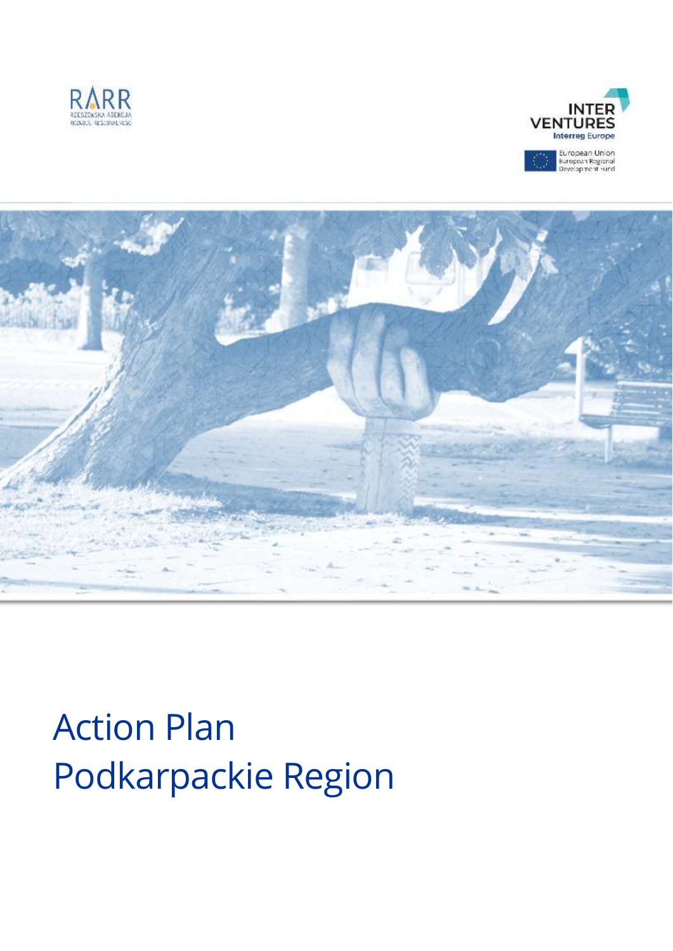





# Action Plan Podkarpackie Region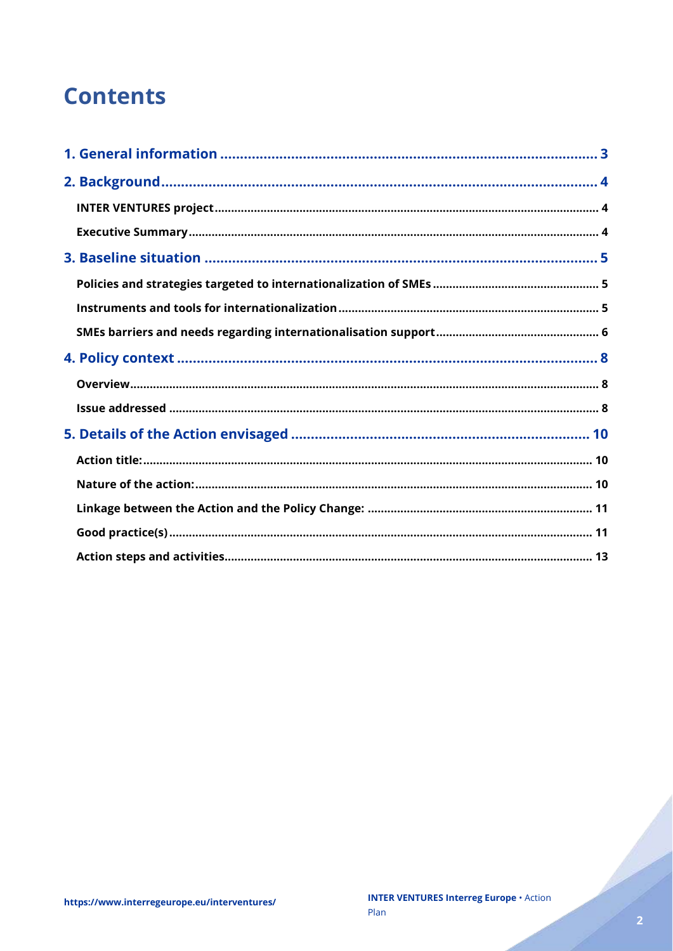# **Contents**

Charles Corporation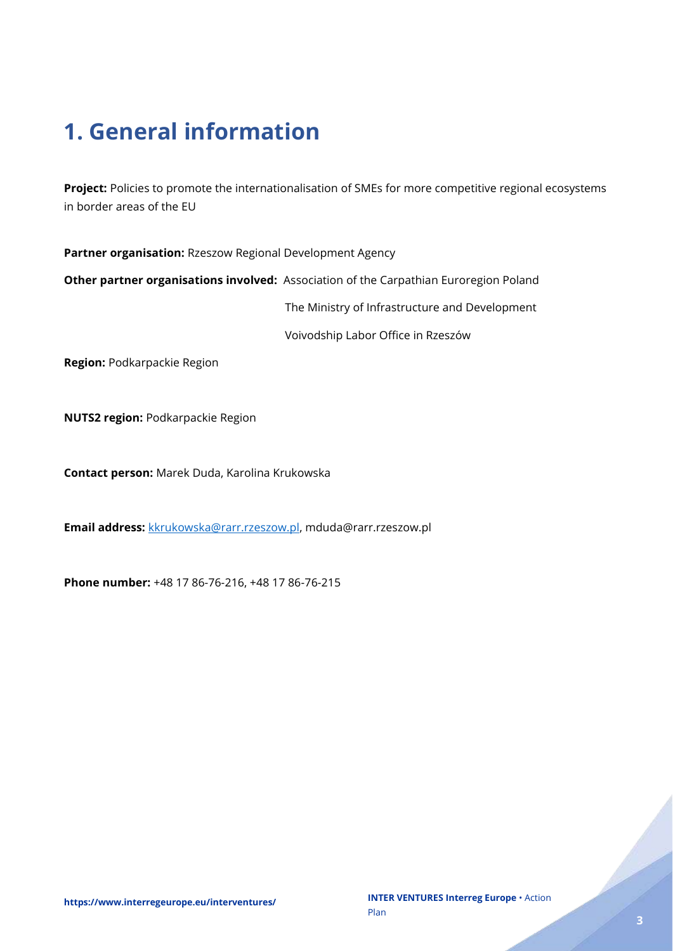# <span id="page-2-0"></span>**1. General information**

**Project:** Policies to promote the internationalisation of SMEs for more competitive regional ecosystems in border areas of the EU

**Partner organisation:** Rzeszow Regional Development Agency

**Other partner organisations involved:** Association of the Carpathian Euroregion Poland

The Ministry of Infrastructure and Development

Voivodship Labor Office in Rzeszów

**Region:** Podkarpackie Region

**NUTS2 region:** Podkarpackie Region

**Contact person:** Marek Duda, Karolina Krukowska

**Email address:** [kkrukowska@rarr.rzeszow.pl,](mailto:kkrukowska@rarr.rzeszow.pl) mduda@rarr.rzeszow.pl

**Phone number:** +48 17 86-76-216, +48 17 86-76-215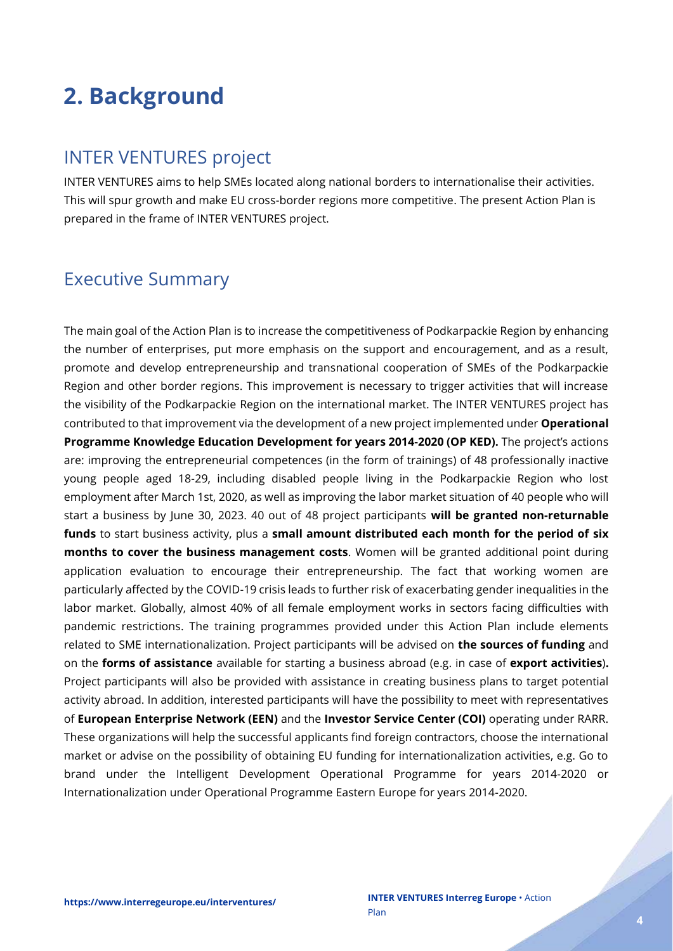# <span id="page-3-0"></span>**2. Background**

### <span id="page-3-1"></span>INTER VENTURES project

INTER VENTURES aims to help SMEs located along national borders to internationalise their activities. This will spur growth and make EU cross-border regions more competitive. The present Action Plan is prepared in the frame of INTER VENTURES project.

## <span id="page-3-2"></span>Executive Summary

The main goal of the Action Plan is to increase the competitiveness of Podkarpackie Region by enhancing the number of enterprises, put more emphasis on the support and encouragement, and as a result, promote and develop entrepreneurship and transnational cooperation of SMEs of the Podkarpackie Region and other border regions. This improvement is necessary to trigger activities that will increase the visibility of the Podkarpackie Region on the international market. The INTER VENTURES project has contributed to that improvement via the development of a new project implemented under **Operational Programme Knowledge Education Development for years 2014-2020 (OP KED).** The project's actions are: improving the entrepreneurial competences (in the form of trainings) of 48 professionally inactive young people aged 18-29, including disabled people living in the Podkarpackie Region who lost employment after March 1st, 2020, as well as improving the labor market situation of 40 people who will start a business by June 30, 2023. 40 out of 48 project participants **will be granted non-returnable funds** to start business activity, plus a **small amount distributed each month for the period of six months to cover the business management costs**. Women will be granted additional point during application evaluation to encourage their entrepreneurship. The fact that working women are particularly affected by the COVID-19 crisis leads to further risk of exacerbating gender inequalities in the labor market. Globally, almost 40% of all female employment works in sectors facing difficulties with pandemic restrictions. The training programmes provided under this Action Plan include elements related to SME internationalization. Project participants will be advised on **the sources of funding** and on the **forms of assistance** available for starting a business abroad (e.g. in case of **export activities**)**.** Project participants will also be provided with assistance in creating business plans to target potential activity abroad. In addition, interested participants will have the possibility to meet with representatives of **European Enterprise Network (EEN)** and the **Investor Service Center (COI)** operating under RARR. These organizations will help the successful applicants find foreign contractors, choose the international market or advise on the possibility of obtaining EU funding for internationalization activities, e.g. Go to brand under the Intelligent Development Operational Programme for years 2014-2020 or Internationalization under Operational Programme Eastern Europe for years 2014-2020.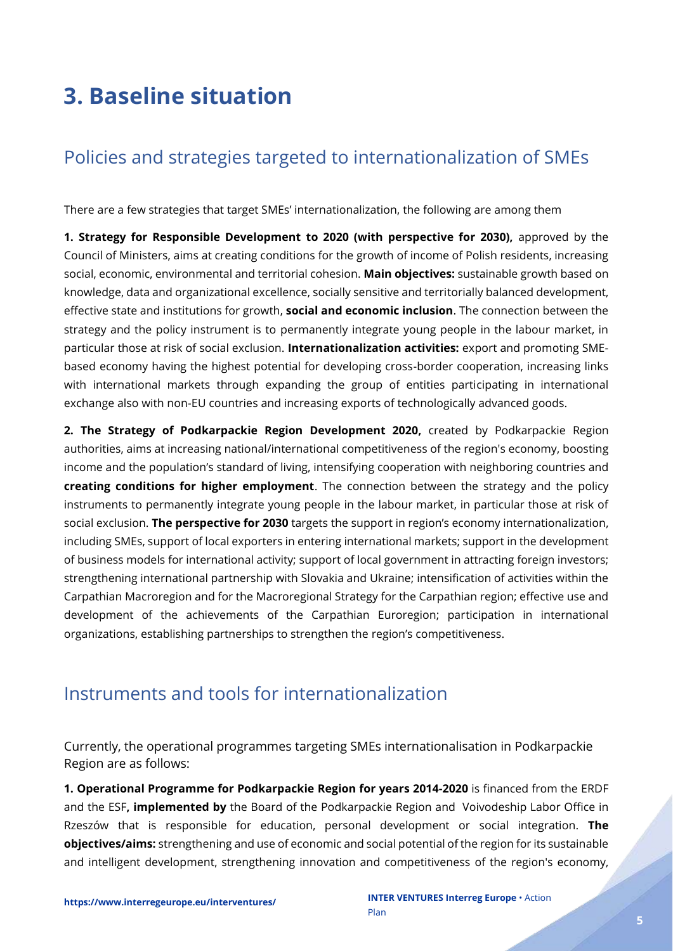# <span id="page-4-0"></span>**3. Baseline situation**

# <span id="page-4-1"></span>Policies and strategies targeted to internationalization of SMEs

There are a few strategies that target SMEs' internationalization, the following are among them

**1. Strategy for Responsible Development to 2020 (with perspective for 2030),** approved by the Council of Ministers, aims at creating conditions for the growth of income of Polish residents, increasing social, economic, environmental and territorial cohesion. **Main objectives:** sustainable growth based on knowledge, data and organizational excellence, socially sensitive and territorially balanced development, effective state and institutions for growth, **social and economic inclusion**. The connection between the strategy and the policy instrument is to permanently integrate young people in the labour market, in particular those at risk of social exclusion. **Internationalization activities:** export and promoting SMEbased economy having the highest potential for developing cross-border cooperation, increasing links with international markets through expanding the group of entities participating in international exchange also with non-EU countries and increasing exports of technologically advanced goods.

**2. The Strategy of Podkarpackie Region Development 2020,** created by Podkarpackie Region authorities, aims at increasing national/international competitiveness of the region's economy, boosting income and the population's standard of living, intensifying cooperation with neighboring countries and **creating conditions for higher employment**. The connection between the strategy and the policy instruments to permanently integrate young people in the labour market, in particular those at risk of social exclusion. **The perspective for 2030** targets the support in region's economy internationalization, including SMEs, support of local exporters in entering international markets; support in the development of business models for international activity; support of local government in attracting foreign investors; strengthening international partnership with Slovakia and Ukraine; intensification of activities within the Carpathian Macroregion and for the Macroregional Strategy for the Carpathian region; effective use and development of the achievements of the Carpathian Euroregion; participation in international organizations, establishing partnerships to strengthen the region's competitiveness.

### <span id="page-4-2"></span>Instruments and tools for internationalization

Currently, the operational programmes targeting SMEs internationalisation in Podkarpackie Region are as follows:

**1. Operational Programme for Podkarpackie Region for years 2014-2020** is financed from the ERDF and the ESF**, implemented by** the Board of the Podkarpackie Region and Voivodeship Labor Office in Rzeszów that is responsible for education, personal development or social integration. **The objectives/aims:** strengthening and use of economic and social potential of the region for its sustainable and intelligent development, strengthening innovation and competitiveness of the region's economy,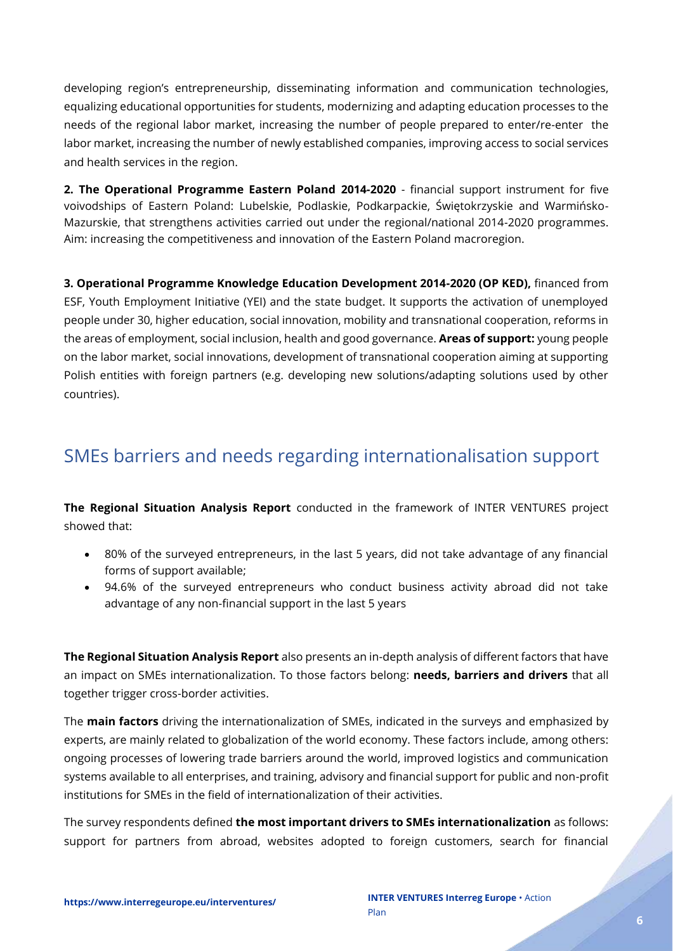developing region's entrepreneurship, disseminating information and communication technologies, equalizing educational opportunities for students, modernizing and adapting education processes to the needs of the regional labor market, increasing the number of people prepared to enter/re-enter the labor market, increasing the number of newly established companies, improving access to social services and health services in the region.

**2. The Operational Programme Eastern Poland 2014-2020** - financial support instrument for five voivodships of Eastern Poland: Lubelskie, Podlaskie, Podkarpackie, Świętokrzyskie and Warmińsko-Mazurskie, that strengthens activities carried out under the regional/national 2014-2020 programmes. Aim: increasing the competitiveness and innovation of the Eastern Poland macroregion.

**3. Operational Programme Knowledge Education Development 2014-2020 (OP KED),** financed from ESF, Youth Employment Initiative (YEI) and the state budget. It supports the activation of unemployed people under 30, higher education, social innovation, mobility and transnational cooperation, reforms in the areas of employment, social inclusion, health and good governance. **Areas of support:** young people on the labor market, social innovations, development of transnational cooperation aiming at supporting Polish entities with foreign partners (e.g. developing new solutions/adapting solutions used by other countries).

# <span id="page-5-0"></span>SMEs barriers and needs regarding internationalisation support

**The Regional Situation Analysis Report** conducted in the framework of INTER VENTURES project showed that:

- 80% of the surveyed entrepreneurs, in the last 5 years, did not take advantage of any financial forms of support available;
- 94.6% of the surveyed entrepreneurs who conduct business activity abroad did not take advantage of any non-financial support in the last 5 years

**The Regional Situation Analysis Report** also presents an in-depth analysis of different factors that have an impact on SMEs internationalization. To those factors belong: **needs, barriers and drivers** that all together trigger cross-border activities.

The **main factors** driving the internationalization of SMEs, indicated in the surveys and emphasized by experts, are mainly related to globalization of the world economy. These factors include, among others: ongoing processes of lowering trade barriers around the world, improved logistics and communication systems available to all enterprises, and training, advisory and financial support for public and non-profit institutions for SMEs in the field of internationalization of their activities.

The survey respondents defined **the most important drivers to SMEs internationalization** as follows: support for partners from abroad, websites adopted to foreign customers, search for financial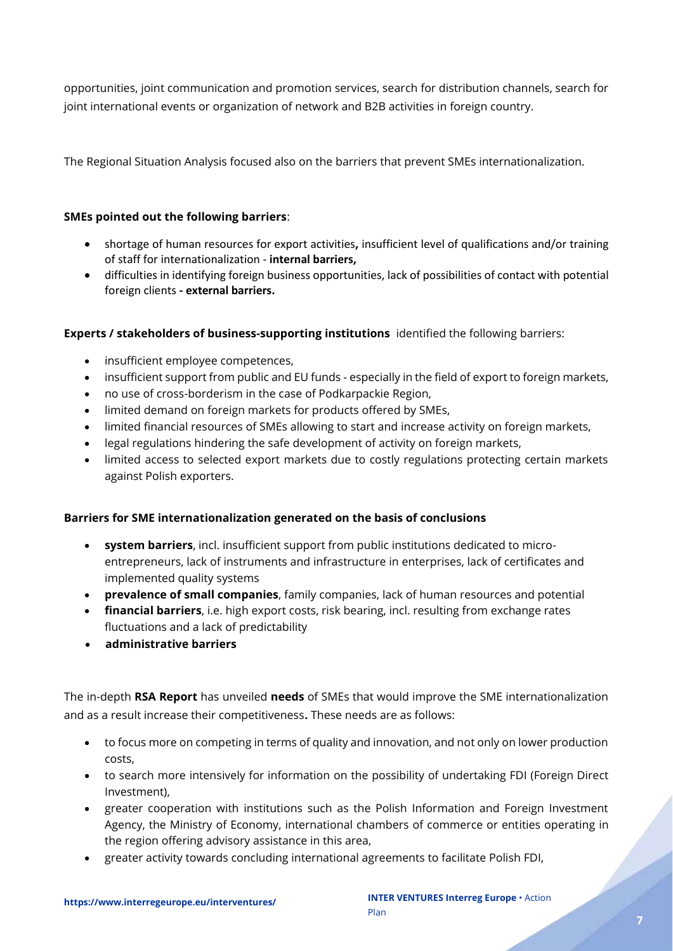opportunities, joint communication and promotion services, search for distribution channels, search for joint international events or organization of network and B2B activities in foreign country.

The Regional Situation Analysis focused also on the barriers that prevent SMEs internationalization.

#### **SMEs pointed out the following barriers**:

- shortage of human resources for export activities**,** insufficient level of qualifications and/or training of staff for internationalization - **internal barriers,**
- difficulties in identifying foreign business opportunities, lack of possibilities of contact with potential foreign clients **- external barriers.**

#### **Experts / stakeholders of business-supporting institutions** identified the following barriers:

- insufficient employee competences,
- insufficient support from public and EU funds especially in the field of export to foreign markets,
- no use of cross-borderism in the case of Podkarpackie Region,
- limited demand on foreign markets for products offered by SMEs,
- limited financial resources of SMEs allowing to start and increase activity on foreign markets,
- legal regulations hindering the safe development of activity on foreign markets,
- limited access to selected export markets due to costly regulations protecting certain markets against Polish exporters.

#### **Barriers for SME internationalization generated on the basis of conclusions**

- **system barriers**, incl. insufficient support from public institutions dedicated to microentrepreneurs, lack of instruments and infrastructure in enterprises, lack of certificates and implemented quality systems
- **prevalence of small companies**, family companies, lack of human resources and potential
- **financial barriers**, i.e. high export costs, risk bearing, incl. resulting from exchange rates fluctuations and a lack of predictability
- **administrative barriers**

The in-depth **RSA Report** has unveiled **needs** of SMEs that would improve the SME internationalization and as a result increase their competitiveness**.** These needs are as follows:

- to focus more on competing in terms of quality and innovation, and not only on lower production costs,
- to search more intensively for information on the possibility of undertaking FDI (Foreign Direct Investment),
- greater cooperation with institutions such as the Polish Information and Foreign Investment Agency, the Ministry of Economy, international chambers of commerce or entities operating in the region offering advisory assistance in this area,
- greater activity towards concluding international agreements to facilitate Polish FDI,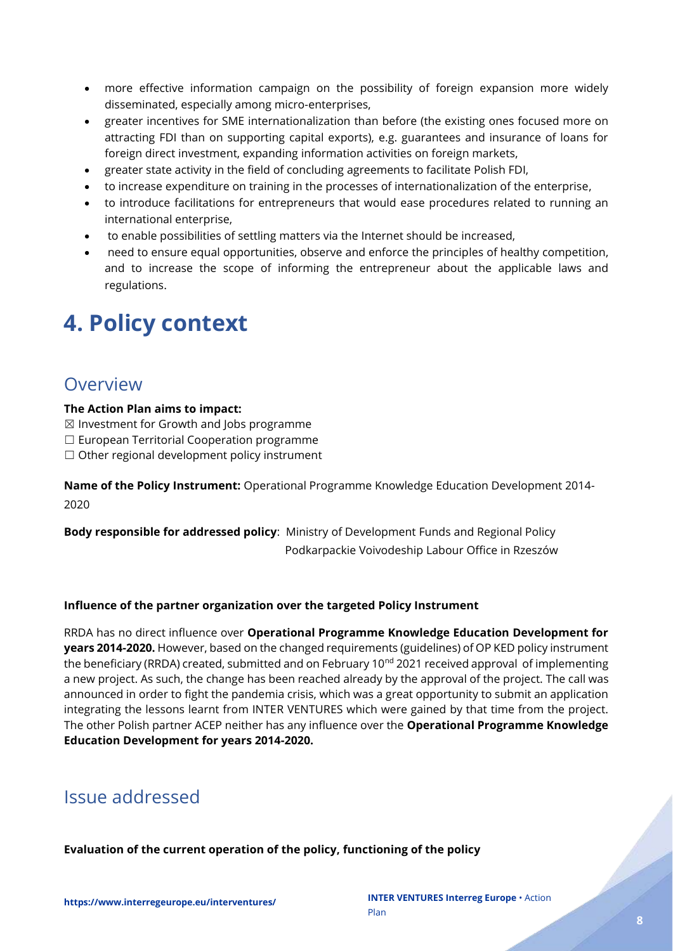- more effective information campaign on the possibility of foreign expansion more widely disseminated, especially among micro-enterprises,
- greater incentives for SME internationalization than before (the existing ones focused more on attracting FDI than on supporting capital exports), e.g. guarantees and insurance of loans for foreign direct investment, expanding information activities on foreign markets,
- greater state activity in the field of concluding agreements to facilitate Polish FDI,
- to increase expenditure on training in the processes of internationalization of the enterprise,
- to introduce facilitations for entrepreneurs that would ease procedures related to running an international enterprise,
- to enable possibilities of settling matters via the Internet should be increased,
- need to ensure equal opportunities, observe and enforce the principles of healthy competition, and to increase the scope of informing the entrepreneur about the applicable laws and regulations.

# <span id="page-7-0"></span>**4. Policy context**

### <span id="page-7-1"></span>**Overview**

#### **The Action Plan aims to impact:**

- ☒ Investment for Growth and Jobs programme
- ☐ European Territorial Cooperation programme
- $\Box$  Other regional development policy instrument

**Name of the Policy Instrument:** Operational Programme Knowledge Education Development 2014- 2020

**Body responsible for addressed policy**: Ministry of Development Funds and Regional Policy Podkarpackie Voivodeship Labour Office in Rzeszów

#### **Influence of the partner organization over the targeted Policy Instrument**

RRDA has no direct influence over **Operational Programme Knowledge Education Development for years 2014-2020.** However, based on the changed requirements (guidelines) of OP KED policy instrument the beneficiary (RRDA) created, submitted and on February 10<sup>nd</sup> 2021 received approval of implementing a new project. As such, the change has been reached already by the approval of the project. The call was announced in order to fight the pandemia crisis, which was a great opportunity to submit an application integrating the lessons learnt from INTER VENTURES which were gained by that time from the project. The other Polish partner ACEP neither has any influence over the **Operational Programme Knowledge Education Development for years 2014-2020.**

### <span id="page-7-2"></span>Issue addressed

**Evaluation of the current operation of the policy, functioning of the policy**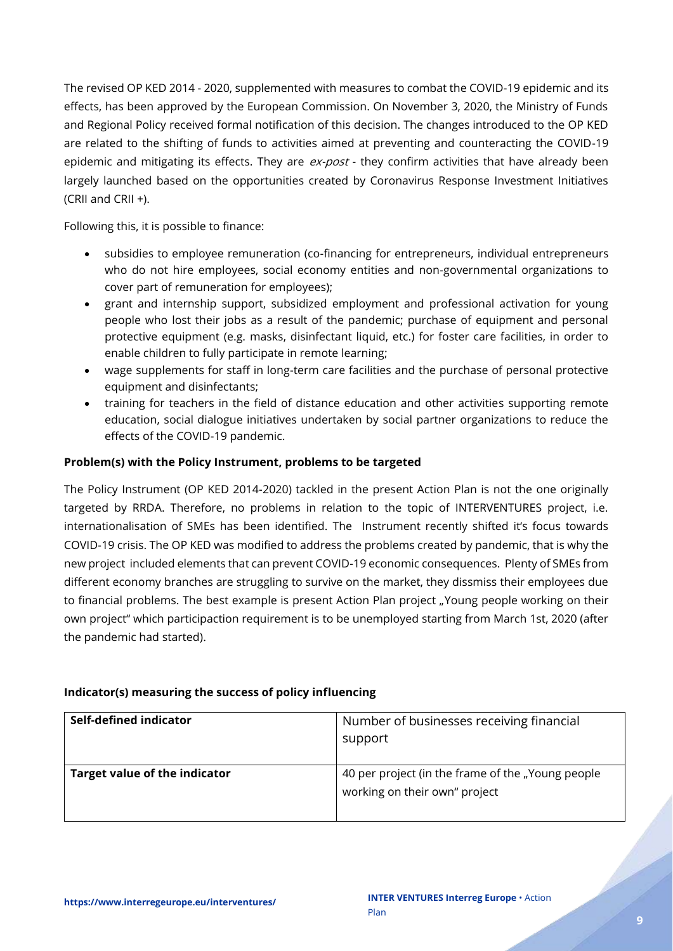The revised OP KED 2014 - 2020, supplemented with measures to combat the COVID-19 epidemic and its effects, has been approved by the European Commission. On November 3, 2020, the Ministry of Funds and Regional Policy received formal notification of this decision. The changes introduced to the OP KED are related to the shifting of funds to activities aimed at preventing and counteracting the COVID-19 epidemic and mitigating its effects. They are  $ex\text{-}post$  - they confirm activities that have already been largely launched based on the opportunities created by Coronavirus Response Investment Initiatives (CRII and CRII +).

Following this, it is possible to finance:

- subsidies to employee remuneration (co-financing for entrepreneurs, individual entrepreneurs who do not hire employees, social economy entities and non-governmental organizations to cover part of remuneration for employees);
- grant and internship support, subsidized employment and professional activation for young people who lost their jobs as a result of the pandemic; purchase of equipment and personal protective equipment (e.g. masks, disinfectant liquid, etc.) for foster care facilities, in order to enable children to fully participate in remote learning;
- wage supplements for staff in long-term care facilities and the purchase of personal protective equipment and disinfectants;
- training for teachers in the field of distance education and other activities supporting remote education, social dialogue initiatives undertaken by social partner organizations to reduce the effects of the COVID-19 pandemic.

#### **Problem(s) with the Policy Instrument, problems to be targeted**

The Policy Instrument (OP KED 2014-2020) tackled in the present Action Plan is not the one originally targeted by RRDA. Therefore, no problems in relation to the topic of INTERVENTURES project, i.e. internationalisation of SMEs has been identified. The Instrument recently shifted it's focus towards COVID-19 crisis. The OP KED was modified to address the problems created by pandemic, that is why the new project included elements that can prevent COVID-19 economic consequences. Plenty of SMEs from different economy branches are struggling to survive on the market, they dissmiss their employees due to financial problems. The best example is present Action Plan project "Young people working on their own project" which participaction requirement is to be unemployed starting from March 1st, 2020 (after the pandemic had started).

#### **Indicator(s) measuring the success of policy influencing**

| Self-defined indicator               | Number of businesses receiving financial<br>support                                |
|--------------------------------------|------------------------------------------------------------------------------------|
| <b>Target value of the indicator</b> | 40 per project (in the frame of the "Young people<br>working on their own" project |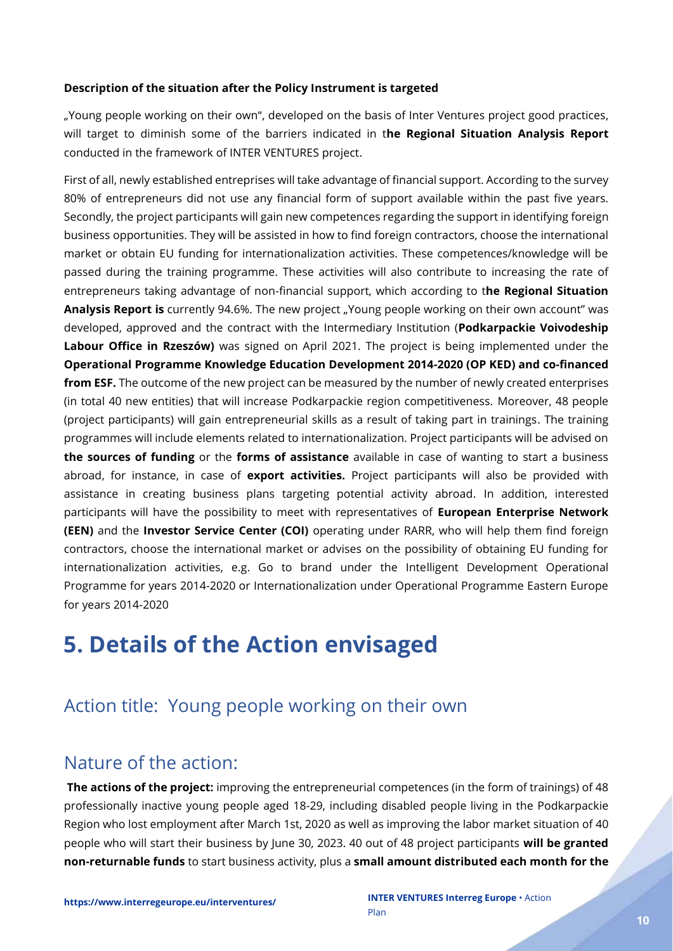#### **Description of the situation after the Policy Instrument is targeted**

"Young people working on their own", developed on the basis of Inter Ventures project good practices, will target to diminish some of the barriers indicated in t**he Regional Situation Analysis Report** conducted in the framework of INTER VENTURES project.

First of all, newly established entreprises will take advantage of financial support. According to the survey 80% of entrepreneurs did not use any financial form of support available within the past five years. Secondly, the project participants will gain new competences regarding the support in identifying foreign business opportunities. They will be assisted in how to find foreign contractors, choose the international market or obtain EU funding for internationalization activities. These competences/knowledge will be passed during the training programme. These activities will also contribute to increasing the rate of entrepreneurs taking advantage of non-financial support, which according to t**he Regional Situation**  Analysis Report is currently 94.6%. The new project "Young people working on their own account" was developed, approved and the contract with the Intermediary Institution (**Podkarpackie Voivodeship Labour Office in Rzeszów)** was signed on April 2021. The project is being implemented under the **Operational Programme Knowledge Education Development 2014-2020 (OP KED) and co-financed from ESF.** The outcome of the new project can be measured by the number of newly created enterprises (in total 40 new entities) that will increase Podkarpackie region competitiveness. Moreover, 48 people (project participants) will gain entrepreneurial skills as a result of taking part in trainings. The training programmes will include elements related to internationalization. Project participants will be advised on **the sources of funding** or the **forms of assistance** available in case of wanting to start a business abroad, for instance, in case of **export activities.** Project participants will also be provided with assistance in creating business plans targeting potential activity abroad. In addition, interested participants will have the possibility to meet with representatives of **European Enterprise Network (EEN)** and the **Investor Service Center (COI)** operating under RARR, who will help them find foreign contractors, choose the international market or advises on the possibility of obtaining EU funding for internationalization activities, e.g. Go to brand under the Intelligent Development Operational Programme for years 2014-2020 or Internationalization under Operational Programme Eastern Europe for years 2014-2020

# <span id="page-9-0"></span>**5. Details of the Action envisaged**

# <span id="page-9-1"></span>Action title: Young people working on their own

### <span id="page-9-2"></span>Nature of the action:

**The actions of the project:** improving the entrepreneurial competences (in the form of trainings) of 48 professionally inactive young people aged 18-29, including disabled people living in the Podkarpackie Region who lost employment after March 1st, 2020 as well as improving the labor market situation of 40 people who will start their business by June 30, 2023. 40 out of 48 project participants **will be granted non-returnable funds** to start business activity, plus a **small amount distributed each month for the**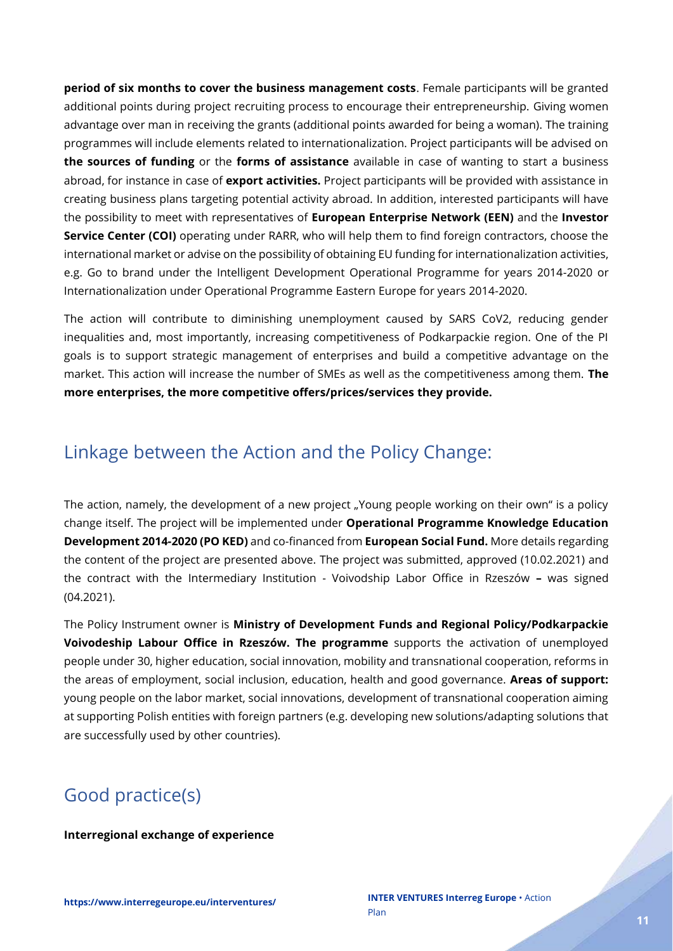**period of six months to cover the business management costs**. Female participants will be granted additional points during project recruiting process to encourage their entrepreneurship. Giving women advantage over man in receiving the grants (additional points awarded for being a woman). The training programmes will include elements related to internationalization. Project participants will be advised on **the sources of funding** or the **forms of assistance** available in case of wanting to start a business abroad, for instance in case of **export activities.** Project participants will be provided with assistance in creating business plans targeting potential activity abroad. In addition, interested participants will have the possibility to meet with representatives of **European Enterprise Network (EEN)** and the **Investor Service Center (COI)** operating under RARR, who will help them to find foreign contractors, choose the international market or advise on the possibility of obtaining EU funding for internationalization activities, e.g. Go to brand under the Intelligent Development Operational Programme for years 2014-2020 or Internationalization under Operational Programme Eastern Europe for years 2014-2020.

The action will contribute to diminishing unemployment caused by SARS CoV2, reducing gender inequalities and, most importantly, increasing competitiveness of Podkarpackie region. One of the PI goals is to support strategic management of enterprises and build a competitive advantage on the market. This action will increase the number of SMEs as well as the competitiveness among them. **The more enterprises, the more competitive offers/prices/services they provide.**

# <span id="page-10-0"></span>Linkage between the Action and the Policy Change:

The action, namely, the development of a new project "Young people working on their own" is a policy change itself. The project will be implemented under **Operational Programme Knowledge Education Development 2014-2020 (PO KED)** and co-financed from **European Social Fund.** More details regarding the content of the project are presented above. The project was submitted, approved (10.02.2021) and the contract with the Intermediary Institution - Voivodship Labor Office in Rzeszów **–** was signed (04.2021).

The Policy Instrument owner is **Ministry of Development Funds and Regional Policy/Podkarpackie Voivodeship Labour Office in Rzeszów. The programme** supports the activation of unemployed people under 30, higher education, social innovation, mobility and transnational cooperation, reforms in the areas of employment, social inclusion, education, health and good governance. **Areas of support:** young people on the labor market, social innovations, development of transnational cooperation aiming at supporting Polish entities with foreign partners (e.g. developing new solutions/adapting solutions that are successfully used by other countries).

# <span id="page-10-1"></span>Good practice(s)

#### **Interregional exchange of experience**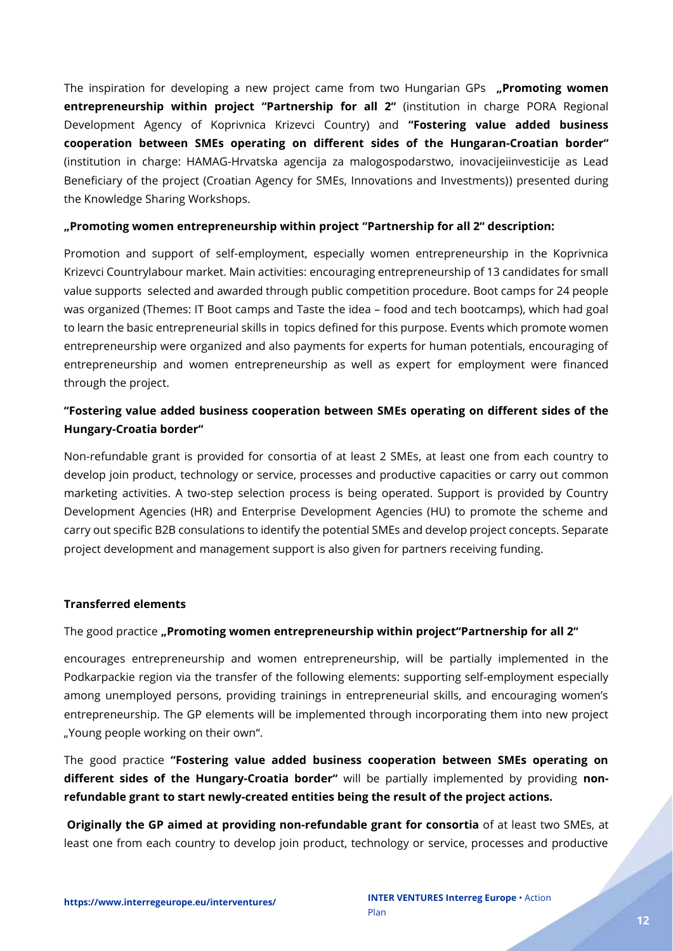The inspiration for developing a new project came from two Hungarian GPs **"Promoting women entrepreneurship within project "Partnership for all 2"** (institution in charge PORA Regional Development Agency of Koprivnica Krizevci Country) and **"Fostering value added business cooperation between SMEs operating on different sides of the Hungaran-Croatian border"** (institution in charge: HAMAG-Hrvatska agencija za malogospodarstwo, inovacijeiinvesticije as Lead Beneficiary of the project (Croatian Agency for SMEs, Innovations and Investments)) presented during the Knowledge Sharing Workshops.

#### **"Promoting women entrepreneurship within project "Partnership for all 2" description:**

Promotion and support of self-employment, especially women entrepreneurship in the Koprivnica Krizevci Countrylabour market. Main activities: encouraging entrepreneurship of 13 candidates for small value supports selected and awarded through public competition procedure. Boot camps for 24 people was organized (Themes: IT Boot camps and Taste the idea – food and tech bootcamps), which had goal to learn the basic entrepreneurial skills in topics defined for this purpose. Events which promote women entrepreneurship were organized and also payments for experts for human potentials, encouraging of entrepreneurship and women entrepreneurship as well as expert for employment were financed through the project.

#### **"Fostering value added business cooperation between SMEs operating on different sides of the Hungary-Croatia border"**

Non-refundable grant is provided for consortia of at least 2 SMEs, at least one from each country to develop join product, technology or service, processes and productive capacities or carry out common marketing activities. A two-step selection process is being operated. Support is provided by Country Development Agencies (HR) and Enterprise Development Agencies (HU) to promote the scheme and carry out specific B2B consulations to identify the potential SMEs and develop project concepts. Separate project development and management support is also given for partners receiving funding.

#### **Transferred elements**

#### The good practice **"Promoting women entrepreneurship within project"Partnership for all 2"**

encourages entrepreneurship and women entrepreneurship, will be partially implemented in the Podkarpackie region via the transfer of the following elements: supporting self-employment especially among unemployed persons, providing trainings in entrepreneurial skills, and encouraging women's entrepreneurship. The GP elements will be implemented through incorporating them into new project "Young people working on their own".

The good practice **"Fostering value added business cooperation between SMEs operating on different sides of the Hungary-Croatia border"** will be partially implemented by providing **nonrefundable grant to start newly-created entities being the result of the project actions.**

**Originally the GP aimed at providing non-refundable grant for consortia** of at least two SMEs, at least one from each country to develop join product, technology or service, processes and productive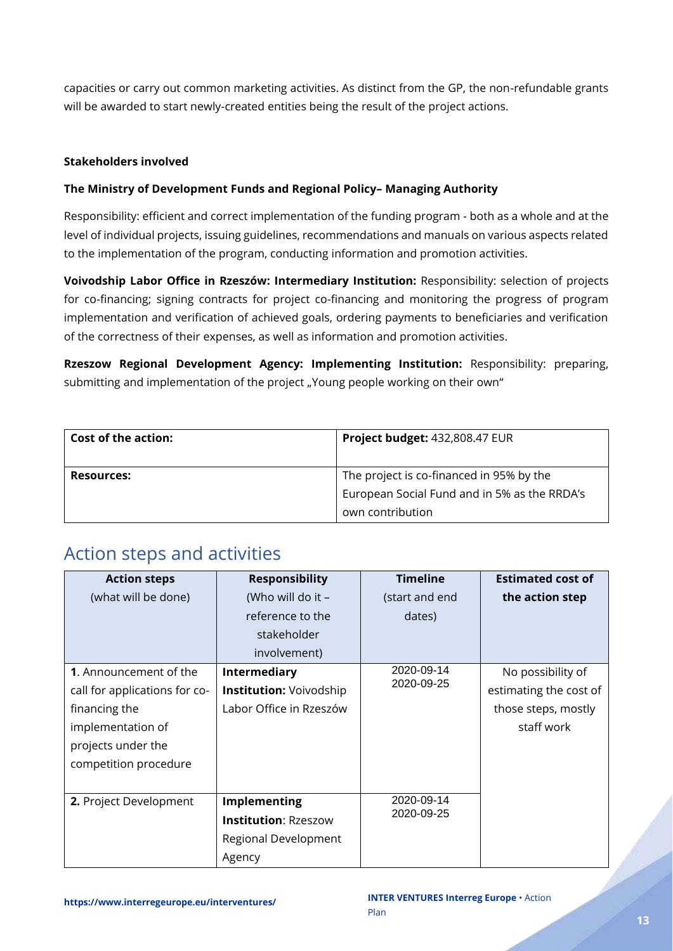capacities or carry out common marketing activities. As distinct from the GP, the non-refundable grants will be awarded to start newly-created entities being the result of the project actions.

#### **Stakeholders involved**

#### **The Ministry of Development Funds and Regional Policy– Managing Authority**

Responsibility: efficient and correct implementation of the funding program - both as a whole and at the level of individual projects, issuing guidelines, recommendations and manuals on various aspects related to the implementation of the program, conducting information and promotion activities.

**Voivodship Labor Office in Rzeszów: Intermediary Institution:** Responsibility: selection of projects for co-financing; signing contracts for project co-financing and monitoring the progress of program implementation and verification of achieved goals, ordering payments to beneficiaries and verification of the correctness of their expenses, as well as information and promotion activities.

**Rzeszow Regional Development Agency: Implementing Institution:** Responsibility: preparing, submitting and implementation of the project "Young people working on their own"

| <b>Cost of the action:</b> | Project budget: 432,808.47 EUR               |  |  |
|----------------------------|----------------------------------------------|--|--|
|                            |                                              |  |  |
| <b>Resources:</b>          | The project is co-financed in 95% by the     |  |  |
|                            | European Social Fund and in 5% as the RRDA's |  |  |
|                            | own contribution                             |  |  |

### <span id="page-12-0"></span>Action steps and activities

| <b>Action steps</b>           | <b>Responsibility</b>          | <b>Timeline</b>          | <b>Estimated cost of</b> |
|-------------------------------|--------------------------------|--------------------------|--------------------------|
| (what will be done)           | (Who will do it -              | (start and end           | the action step          |
|                               | reference to the               | dates)                   |                          |
|                               | stakeholder                    |                          |                          |
|                               | involvement)                   |                          |                          |
| <b>1.</b> Announcement of the | <b>Intermediary</b>            | 2020-09-14<br>2020-09-25 | No possibility of        |
| call for applications for co- | <b>Institution: Voivodship</b> |                          | estimating the cost of   |
| financing the                 | Labor Office in Rzeszów        |                          | those steps, mostly      |
| implementation of             |                                |                          | staff work               |
| projects under the            |                                |                          |                          |
| competition procedure         |                                |                          |                          |
|                               |                                |                          |                          |
| 2. Project Development        | Implementing                   | 2020-09-14<br>2020-09-25 |                          |
|                               | <b>Institution: Rzeszow</b>    |                          |                          |
|                               | Regional Development           |                          |                          |
|                               | Agency                         |                          |                          |